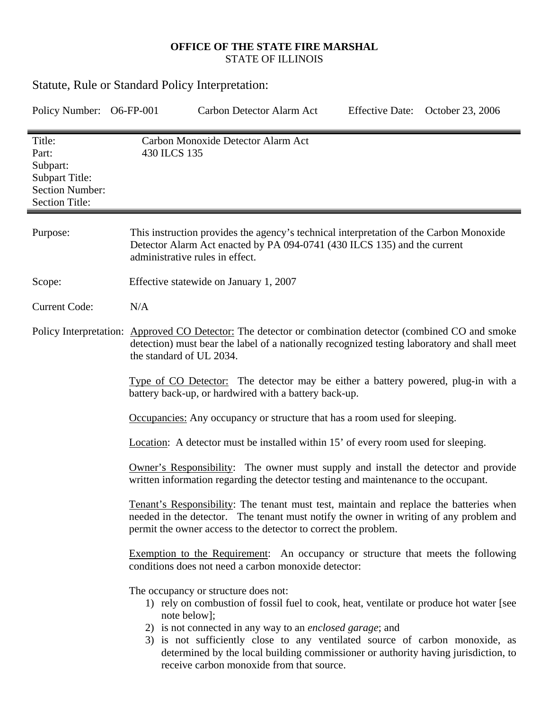## **OFFICE OF THE STATE FIRE MARSHAL**  STATE OF ILLINOIS

| <b>Statute, Rule or Standard Policy Interpretation:</b>                                                                                                                                                                                                                                                                                                                                                                                 |                                                                                                                                                                                                                                                                                                                                                                                                                                                                                                                                                                              |                                                                            |                        |                  |  |
|-----------------------------------------------------------------------------------------------------------------------------------------------------------------------------------------------------------------------------------------------------------------------------------------------------------------------------------------------------------------------------------------------------------------------------------------|------------------------------------------------------------------------------------------------------------------------------------------------------------------------------------------------------------------------------------------------------------------------------------------------------------------------------------------------------------------------------------------------------------------------------------------------------------------------------------------------------------------------------------------------------------------------------|----------------------------------------------------------------------------|------------------------|------------------|--|
| Policy Number: O6-FP-001                                                                                                                                                                                                                                                                                                                                                                                                                |                                                                                                                                                                                                                                                                                                                                                                                                                                                                                                                                                                              | Carbon Detector Alarm Act                                                  | <b>Effective Date:</b> | October 23, 2006 |  |
| Title:<br>Part:<br>Subpart:<br><b>Subpart Title:</b><br><b>Section Number:</b><br><b>Section Title:</b>                                                                                                                                                                                                                                                                                                                                 | 430 ILCS 135                                                                                                                                                                                                                                                                                                                                                                                                                                                                                                                                                                 | Carbon Monoxide Detector Alarm Act                                         |                        |                  |  |
| Purpose:                                                                                                                                                                                                                                                                                                                                                                                                                                | This instruction provides the agency's technical interpretation of the Carbon Monoxide<br>Detector Alarm Act enacted by PA 094-0741 (430 ILCS 135) and the current<br>administrative rules in effect.                                                                                                                                                                                                                                                                                                                                                                        |                                                                            |                        |                  |  |
| Scope:                                                                                                                                                                                                                                                                                                                                                                                                                                  | Effective statewide on January 1, 2007                                                                                                                                                                                                                                                                                                                                                                                                                                                                                                                                       |                                                                            |                        |                  |  |
| <b>Current Code:</b>                                                                                                                                                                                                                                                                                                                                                                                                                    | N/A                                                                                                                                                                                                                                                                                                                                                                                                                                                                                                                                                                          |                                                                            |                        |                  |  |
|                                                                                                                                                                                                                                                                                                                                                                                                                                         | Policy Interpretation: Approved CO Detector: The detector or combination detector (combined CO and smoke<br>detection) must bear the label of a nationally recognized testing laboratory and shall meet<br>the standard of UL 2034.                                                                                                                                                                                                                                                                                                                                          |                                                                            |                        |                  |  |
|                                                                                                                                                                                                                                                                                                                                                                                                                                         | Type of CO Detector: The detector may be either a battery powered, plug-in with a<br>battery back-up, or hardwired with a battery back-up.                                                                                                                                                                                                                                                                                                                                                                                                                                   |                                                                            |                        |                  |  |
|                                                                                                                                                                                                                                                                                                                                                                                                                                         |                                                                                                                                                                                                                                                                                                                                                                                                                                                                                                                                                                              | Occupancies: Any occupancy or structure that has a room used for sleeping. |                        |                  |  |
|                                                                                                                                                                                                                                                                                                                                                                                                                                         | Location: A detector must be installed within 15' of every room used for sleeping.                                                                                                                                                                                                                                                                                                                                                                                                                                                                                           |                                                                            |                        |                  |  |
|                                                                                                                                                                                                                                                                                                                                                                                                                                         | Owner's Responsibility: The owner must supply and install the detector and provide<br>written information regarding the detector testing and maintenance to the occupant.<br>Tenant's Responsibility: The tenant must test, maintain and replace the batteries when<br>needed in the detector. The tenant must notify the owner in writing of any problem and<br>permit the owner access to the detector to correct the problem.<br>Exemption to the Requirement: An occupancy or structure that meets the following<br>conditions does not need a carbon monoxide detector: |                                                                            |                        |                  |  |
|                                                                                                                                                                                                                                                                                                                                                                                                                                         |                                                                                                                                                                                                                                                                                                                                                                                                                                                                                                                                                                              |                                                                            |                        |                  |  |
|                                                                                                                                                                                                                                                                                                                                                                                                                                         |                                                                                                                                                                                                                                                                                                                                                                                                                                                                                                                                                                              |                                                                            |                        |                  |  |
| The occupancy or structure does not:<br>1) rely on combustion of fossil fuel to cook, heat, ventilate or produce hot water [see<br>note below];<br>2) is not connected in any way to an <i>enclosed garage</i> ; and<br>3) is not sufficiently close to any ventilated source of carbon monoxide, as<br>determined by the local building commissioner or authority having jurisdiction, to<br>receive carbon monoxide from that source. |                                                                                                                                                                                                                                                                                                                                                                                                                                                                                                                                                                              |                                                                            |                        |                  |  |